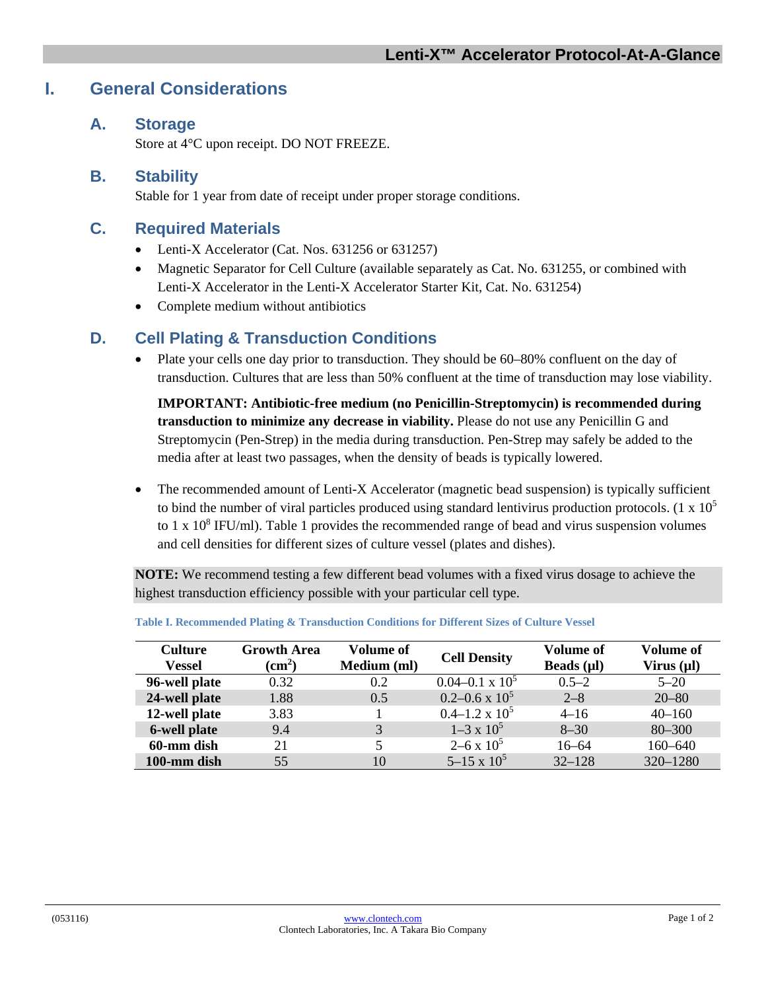# **I. General Considerations**

#### **A. Storage**

Store at 4°C upon receipt. DO NOT FREEZE.

#### **B. Stability**

Stable for 1 year from date of receipt under proper storage conditions.

#### **C. Required Materials**

- Lenti-X Accelerator (Cat. Nos. 631256 or 631257)
- Magnetic Separator for Cell Culture (available separately as Cat. No. 631255, or combined with Lenti-X Accelerator in the Lenti-X Accelerator Starter Kit, Cat. No. 631254)
- Complete medium without antibiotics

### **D. Cell Plating & Transduction Conditions**

• Plate your cells one day prior to transduction. They should be 60–80% confluent on the day of transduction. Cultures that are less than 50% confluent at the time of transduction may lose viability.

**IMPORTANT: Antibiotic-free medium (no Penicillin-Streptomycin) is recommended during transduction to minimize any decrease in viability.** Please do not use any Penicillin G and Streptomycin (Pen-Strep) in the media during transduction. Pen-Strep may safely be added to the media after at least two passages, when the density of beads is typically lowered.

• The recommended amount of Lenti-X Accelerator (magnetic bead suspension) is typically sufficient to bind the number of viral particles produced using standard lentivirus production protocols. (1 x  $10^5$ to 1 x  $10^8$  IFU/ml). Table 1 provides the recommended range of bead and virus suspension volumes and cell densities for different sizes of culture vessel (plates and dishes).

**NOTE:** We recommend testing a few different bead volumes with a fixed virus dosage to achieve the highest transduction efficiency possible with your particular cell type.

| <b>Culture</b><br><b>Vessel</b> | <b>Growth Area</b><br>$\rm \left( cm^2 \right)$ | <b>Volume of</b><br>Medium (ml) | <b>Cell Density</b>      | Volume of<br>Beads $(\mu I)$ | <b>Volume of</b><br>Virus (µl) |
|---------------------------------|-------------------------------------------------|---------------------------------|--------------------------|------------------------------|--------------------------------|
| 96-well plate                   | 0.32                                            | 0.2                             | $0.04 - 0.1 \times 10^5$ | $0.5 - 2$                    | $5 - 20$                       |
| 24-well plate                   | 1.88                                            | 0.5                             | $0.2 - 0.6 \times 10^5$  | $2 - 8$                      | $20 - 80$                      |
| 12-well plate                   | 3.83                                            |                                 | $0.4-1.2 \times 10^5$    | $4 - 16$                     | $40 - 160$                     |
| 6-well plate                    | 9.4                                             | 3                               | $1-3 \times 10^5$        | $8 - 30$                     | $80 - 300$                     |
| 60-mm dish                      | 21                                              |                                 | $2-6 \times 10^5$        | $16 - 64$                    | $160 - 640$                    |
| 100-mm dish                     | 55                                              | 10                              | $5-15 \times 10^5$       | $32 - 128$                   | 320-1280                       |

| Table I. Recommended Plating & Transduction Conditions for Different Sizes of Culture Vessel |  |  |
|----------------------------------------------------------------------------------------------|--|--|
|----------------------------------------------------------------------------------------------|--|--|